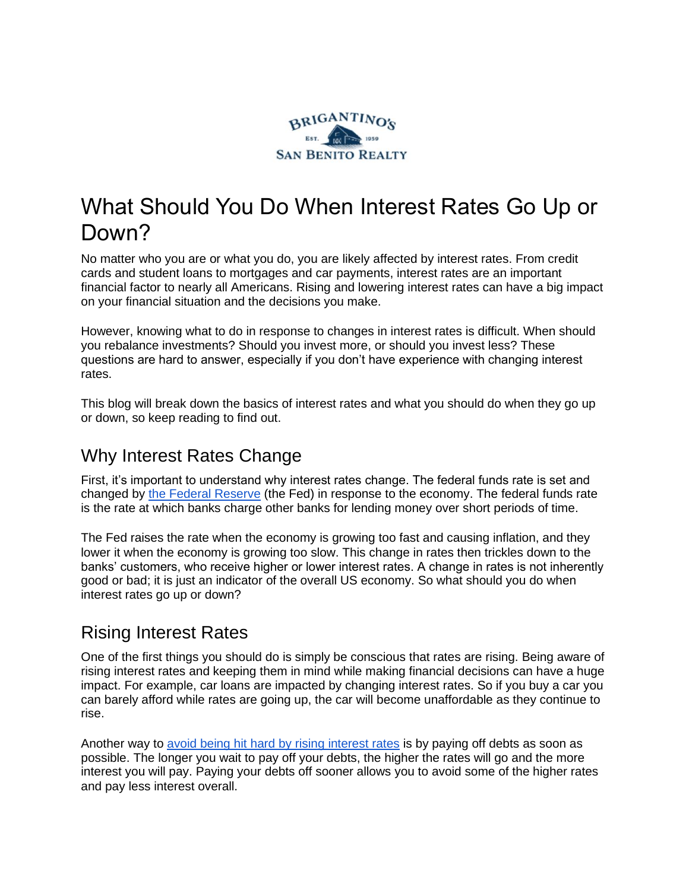

# What Should You Do When Interest Rates Go Up or Down?

No matter who you are or what you do, you are likely affected by interest rates. From credit cards and student loans to mortgages and car payments, interest rates are an important financial factor to nearly all Americans. Rising and lowering interest rates can have a big impact on your financial situation and the decisions you make.

However, knowing what to do in response to changes in interest rates is difficult. When should you rebalance investments? Should you invest more, or should you invest less? These questions are hard to answer, especially if you don't have experience with changing interest rates.

This blog will break down the basics of interest rates and what you should do when they go up or down, so keep reading to find out.

### Why Interest Rates Change

First, it's important to understand why interest rates change. The federal funds rate is set and changed by [the Federal Reserve](https://www.federalreserve.gov/aboutthefed.htm) (the Fed) in response to the economy. The federal funds rate is the rate at which banks charge other banks for lending money over short periods of time.

The Fed raises the rate when the economy is growing too fast and causing inflation, and they lower it when the economy is growing too slow. This change in rates then trickles down to the banks' customers, who receive higher or lower interest rates. A change in rates is not inherently good or bad; it is just an indicator of the overall US economy. So what should you do when interest rates go up or down?

### Rising Interest Rates

One of the first things you should do is simply be conscious that rates are rising. Being aware of rising interest rates and keeping them in mind while making financial decisions can have a huge impact. For example, car loans are impacted by changing interest rates. So if you buy a car you can barely afford while rates are going up, the car will become unaffordable as they continue to rise.

Another way to [avoid being hit hard by rising interest rates](https://sanbenitorealty.com/what-happens-when-interest-rates-rise/) is by paying off debts as soon as possible. The longer you wait to pay off your debts, the higher the rates will go and the more interest you will pay. Paying your debts off sooner allows you to avoid some of the higher rates and pay less interest overall.